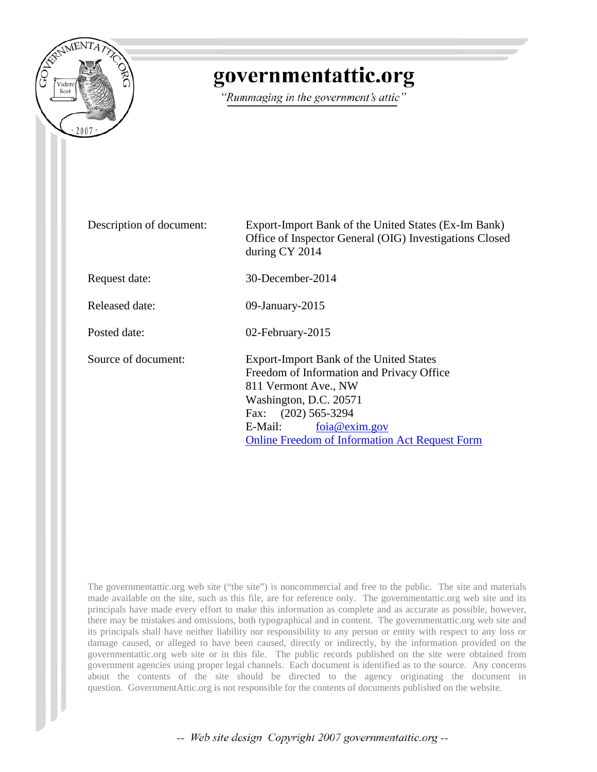

## governmentattic.org

"Rummaging in the government's attic"

| Description of document: | Export-Import Bank of the United States (Ex-Im Bank)<br>Office of Inspector General (OIG) Investigations Closed<br>during CY 2014                                                                                                                  |  |  |  |  |
|--------------------------|----------------------------------------------------------------------------------------------------------------------------------------------------------------------------------------------------------------------------------------------------|--|--|--|--|
| Request date:            | 30-December-2014                                                                                                                                                                                                                                   |  |  |  |  |
| Released date:           | 09-January-2015                                                                                                                                                                                                                                    |  |  |  |  |
| Posted date:             | 02-February-2015                                                                                                                                                                                                                                   |  |  |  |  |
| Source of document:      | Export-Import Bank of the United States<br>Freedom of Information and Privacy Office<br>811 Vermont Ave., NW<br>Washington, D.C. 20571<br>Fax: (202) 565-3294<br>foia@exim.gov<br>E-Mail:<br><b>Online Freedom of Information Act Request Form</b> |  |  |  |  |

The governmentattic.org web site ("the site") is noncommercial and free to the public. The site and materials made available on the site, such as this file, are for reference only. The governmentattic.org web site and its principals have made every effort to make this information as complete and as accurate as possible, however, there may be mistakes and omissions, both typographical and in content. The governmentattic.org web site and its principals shall have neither liability nor responsibility to any person or entity with respect to any loss or damage caused, or alleged to have been caused, directly or indirectly, by the information provided on the governmentattic.org web site or in this file. The public records published on the site were obtained from government agencies using proper legal channels. Each document is identified as to the source. Any concerns about the contents of the site should be directed to the agency originating the document in question. GovernmentAttic.org is not responsible for the contents of documents published on the website.

-- Web site design Copyright 2007 governmentattic.org --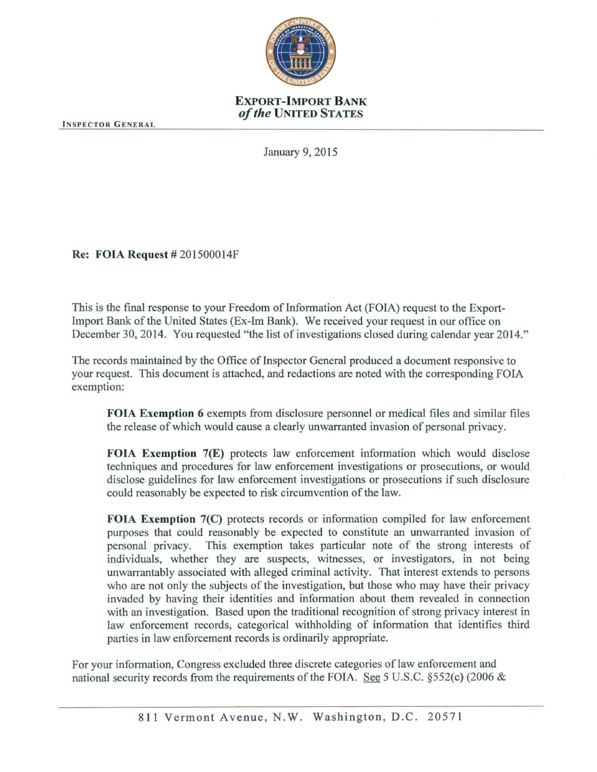

## EXPORT-IMPORT BANK *of the* UNITED STATES

INSPECTOR GENERAL

January 9, 2015

Re: FOIA Request# 201500014F

This is the final response to your Freedom of Information Act (FOIA) request to the Export-Import Bank of the United States (Ex-Im Bank). We received your request in our office on December 30, 2014. You requested "the list of investigations closed during calendar year 2014."

The records maintained by the Office of Inspector General produced a document responsive to your request. This document is attached, and redactions are noted with the corresponding FOIA exemption:

FOIA Exemption 6 exempts from disclosure personnel or medical files and similar files the release of which would cause a clearly unwarranted invasion of personal privacy.

FOIA Exemption 7(E) protects law enforcement information which would disclose techniques and procedures for law enforcement investigations or prosecutions, or would disclose guidelines for law enforcement investigations or prosecutions if such disclosure could reasonably be expected to risk circumvention of the law.

FOIA Exemption 7(C) protects records or information compiled for law enforcement purposes that could reasonably be expected to constitute an unwarranted invasion of personal privacy. This exemption takes particular note of the strong interests of individuals, whether they are suspects, witnesses, or investigators, in not being unwarrantably associated with alleged criminal activity. That interest extends to persons who are not only the subjects of the investigation, but those who may have their privacy invaded by having their identities and information about them revealed in connection with an investigation. Based upon the traditional recognition of strong privacy interest in law enforcement records, categorical withholding of information that identifies third parties in law enforcement records is ordinarily appropriate.

For your information, Congress excluded three discrete categories of law enforcement and national security records from the requirements of the FOIA. See 5 U.S.C. §552(c) (2006 &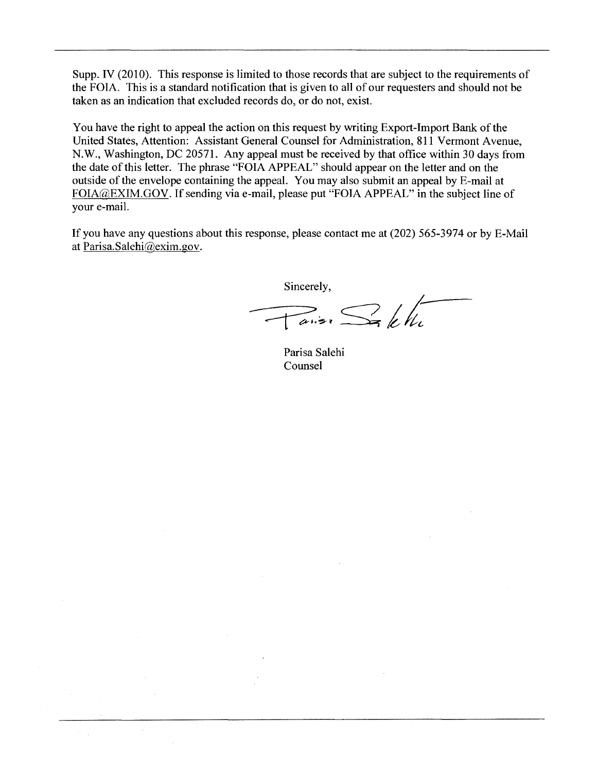Supp. IV (2010). This response is limited to those records that are subject to the requirements of the FOIA. This is a standard notification that is given to all of our requesters and should not be taken as an indication that excluded records do, or do not, exist.

You have the right to appeal the action on this request by writing Export-Import Bank of the United States, Attention: Assistant General Counsel for Administration, 811 Vermont A venue, N.W., Washington, DC 20571. Any appeal must be received by that office within 30 days from the date of this letter. The phrase "FOIA APPEAL" should appear on the letter and on the outside of the envelope containing the appeal. You may also submit an appeal by E-mail at FOIA@EXIM.GOV. If sending via e-mail, please put "FOIA APPEAL" in the subject line of your e-mail.

If you have any questions about this response, please contact me at (202) 565-3974 or by E-Mail at Parisa.Salehi@exim.gov.

Sincerely,

 $\pi$  ans  $\frac{1}{2}$   $\frac{1}{k}$ 

Parisa Salehi Counsel

 $\mathcal{L}$